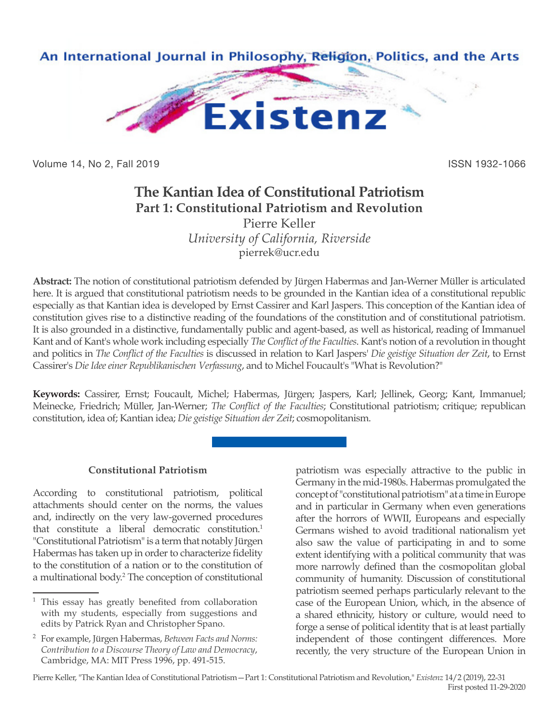

Volume 14, No 2, Fall 2019 ISSN 1932-1066

## **The Kantian Idea of Constitutional Patriotism Part 1: Constitutional Patriotism and Revolution** Pierre Keller

*University of California, Riverside* pierrek@ucr.edu

**Abstract:** The notion of constitutional patriotism defended by Jürgen Habermas and Jan-Werner Müller is articulated here. It is argued that constitutional patriotism needs to be grounded in the Kantian idea of a constitutional republic especially as that Kantian idea is developed by Ernst Cassirer and Karl Jaspers. This conception of the Kantian idea of constitution gives rise to a distinctive reading of the foundations of the constitution and of constitutional patriotism. It is also grounded in a distinctive, fundamentally public and agent-based, as well as historical, reading of Immanuel Kant and of Kant's whole work including especially *The Conflict of the Faculties*. Kant's notion of a revolution in thought and politics in *The Conflict of the Faculties* is discussed in relation to Karl Jaspers' *Die geistige Situation der Zeit*, to Ernst Cassirer's *Die Idee einer Republikanischen Verfassung*, and to Michel Foucault's "What is Revolution?"

**Keywords:** Cassirer, Ernst; Foucault, Michel; Habermas, Jürgen; Jaspers, Karl; Jellinek, Georg; Kant, Immanuel; Meinecke, Friedrich; Müller, Jan-Werner; *The Conflict of the Faculties*; Constitutional patriotism; critique; republican constitution, idea of; Kantian idea; *Die geistige Situation der Zeit*; cosmopolitanism.

## **Constitutional Patriotism**

According to constitutional patriotism, political attachments should center on the norms, the values and, indirectly on the very law-governed procedures that constitute a liberal democratic constitution.<sup>1</sup> "Constitutional Patriotism" is a term that notably Jürgen Habermas has taken up in order to characterize fidelity to the constitution of a nation or to the constitution of a multinational body.2 The conception of constitutional patriotism was especially attractive to the public in Germany in the mid-1980s. Habermas promulgated the concept of "constitutional patriotism" at a time in Europe and in particular in Germany when even generations after the horrors of WWII, Europeans and especially Germans wished to avoid traditional nationalism yet also saw the value of participating in and to some extent identifying with a political community that was more narrowly defined than the cosmopolitan global community of humanity. Discussion of constitutional patriotism seemed perhaps particularly relevant to the case of the European Union, which, in the absence of a shared ethnicity, history or culture, would need to forge a sense of political identity that is at least partially independent of those contingent differences. More recently, the very structure of the European Union in

Pierre Keller, "The Kantian Idea of Constitutional Patriotism—Part 1: Constitutional Patriotism and Revolution," *Existenz* 14/2 (2019), 22-31 First posted 11-29-2020

<sup>&</sup>lt;sup>1</sup> This essay has greatly benefited from collaboration with my students, especially from suggestions and edits by Patrick Ryan and Christopher Spano.

<sup>2</sup> For example, Jürgen Habermas, *Between Facts and Norms: Contribution to a Discourse Theory of Law and Democracy*, Cambridge, MA: MIT Press 1996, pp. 491-515.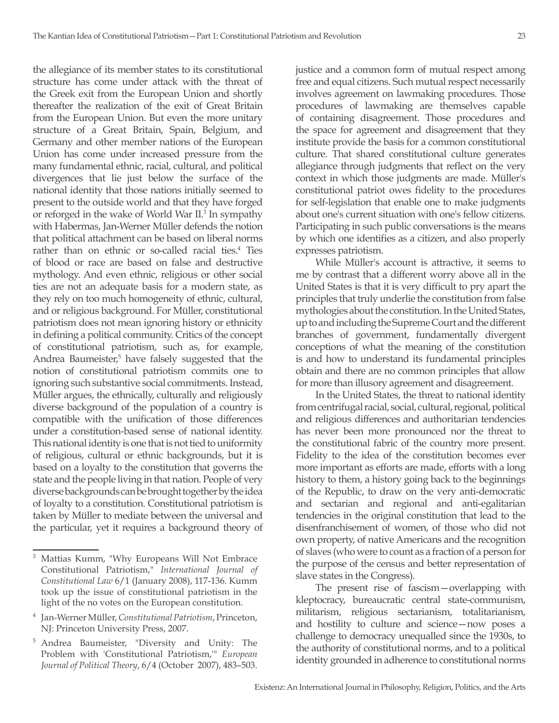the allegiance of its member states to its constitutional structure has come under attack with the threat of the Greek exit from the European Union and shortly thereafter the realization of the exit of Great Britain from the European Union. But even the more unitary structure of a Great Britain, Spain, Belgium, and Germany and other member nations of the European Union has come under increased pressure from the many fundamental ethnic, racial, cultural, and political divergences that lie just below the surface of the national identity that those nations initially seemed to present to the outside world and that they have forged or reforged in the wake of World War II.<sup>3</sup> In sympathy with Habermas, Jan-Werner Müller defends the notion that political attachment can be based on liberal norms rather than on ethnic or so-called racial ties.<sup>4</sup> Ties of blood or race are based on false and destructive mythology. And even ethnic, religious or other social ties are not an adequate basis for a modern state, as they rely on too much homogeneity of ethnic, cultural, and or religious background. For Müller, constitutional patriotism does not mean ignoring history or ethnicity in defining a political community. Critics of the concept of constitutional patriotism, such as, for example, Andrea Baumeister,<sup>5</sup> have falsely suggested that the notion of constitutional patriotism commits one to ignoring such substantive social commitments. Instead, Müller argues, the ethnically, culturally and religiously diverse background of the population of a country is compatible with the unification of those differences under a constitution-based sense of national identity. This national identity is one that is not tied to uniformity of religious, cultural or ethnic backgrounds, but it is based on a loyalty to the constitution that governs the state and the people living in that nation. People of very diverse backgrounds can be brought together by the idea of loyalty to a constitution. Constitutional patriotism is taken by Müller to mediate between the universal and the particular, yet it requires a background theory of

justice and a common form of mutual respect among free and equal citizens. Such mutual respect necessarily involves agreement on lawmaking procedures. Those procedures of lawmaking are themselves capable of containing disagreement. Those procedures and the space for agreement and disagreement that they institute provide the basis for a common constitutional culture. That shared constitutional culture generates allegiance through judgments that reflect on the very context in which those judgments are made. Müller's constitutional patriot owes fidelity to the procedures for self-legislation that enable one to make judgments about one's current situation with one's fellow citizens. Participating in such public conversations is the means by which one identifies as a citizen, and also properly expresses patriotism.

While Müller's account is attractive, it seems to me by contrast that a different worry above all in the United States is that it is very difficult to pry apart the principles that truly underlie the constitution from false mythologies about the constitution. In the United States, up to and including the Supreme Court and the different branches of government, fundamentally divergent conceptions of what the meaning of the constitution is and how to understand its fundamental principles obtain and there are no common principles that allow for more than illusory agreement and disagreement.

In the United States, the threat to national identity from centrifugal racial, social, cultural, regional, political and religious differences and authoritarian tendencies has never been more pronounced nor the threat to the constitutional fabric of the country more present. Fidelity to the idea of the constitution becomes ever more important as efforts are made, efforts with a long history to them, a history going back to the beginnings of the Republic, to draw on the very anti-democratic and sectarian and regional and anti-egalitarian tendencies in the original constitution that lead to the disenfranchisement of women, of those who did not own property, of native Americans and the recognition of slaves (who were to count as a fraction of a person for the purpose of the census and better representation of slave states in the Congress).

The present rise of fascism—overlapping with kleptocracy, bureaucratic central state-communism, militarism, religious sectarianism, totalitarianism, and hostility to culture and science—now poses a challenge to democracy unequalled since the 1930s, to the authority of constitutional norms, and to a political identity grounded in adherence to constitutional norms

<sup>3</sup> Mattias Kumm, "Why Europeans Will Not Embrace Constitutional Patriotism," *International Journal of Constitutional Law* 6/1 (January 2008), 117-136. Kumm took up the issue of constitutional patriotism in the light of the no votes on the European constitution.

<sup>4</sup> Jan-Werner Müller, *Constitutional Patriotism*, Princeton, NJ: Princeton University Press, 2007.

<sup>5</sup> Andrea Baumeister, "Diversity and Unity: The Problem with 'Constitutional Patriotism,'" *European Journal of Political Theory*, 6/4 (October 2007), 483–503.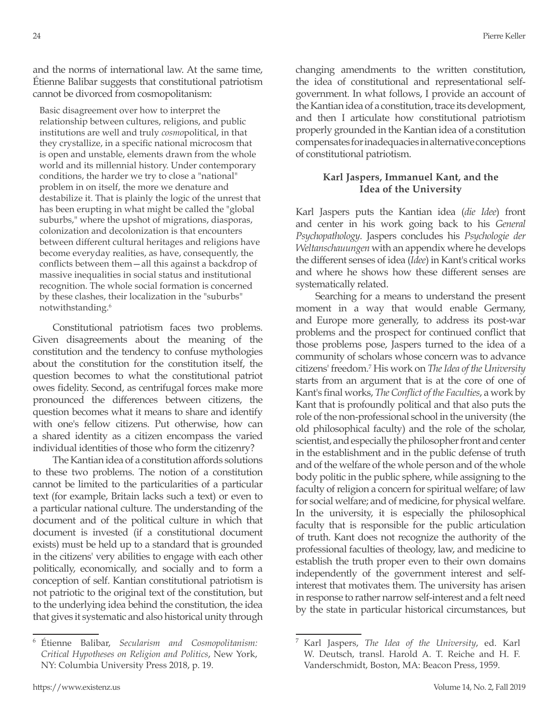and the norms of international law. At the same time, Étienne Balibar suggests that constitutional patriotism cannot be divorced from cosmopolitanism:

Basic disagreement over how to interpret the relationship between cultures, religions, and public institutions are well and truly *cosmo*political, in that they crystallize, in a specific national microcosm that is open and unstable, elements drawn from the whole world and its millennial history. Under contemporary conditions, the harder we try to close a "national" problem in on itself, the more we denature and destabilize it. That is plainly the logic of the unrest that has been erupting in what might be called the "global suburbs," where the upshot of migrations, diasporas, colonization and decolonization is that encounters between different cultural heritages and religions have become everyday realities, as have, consequently, the conflicts between them—all this against a backdrop of massive inequalities in social status and institutional recognition. The whole social formation is concerned by these clashes, their localization in the "suburbs" notwithstanding.6

Constitutional patriotism faces two problems. Given disagreements about the meaning of the constitution and the tendency to confuse mythologies about the constitution for the constitution itself, the question becomes to what the constitutional patriot owes fidelity. Second, as centrifugal forces make more pronounced the differences between citizens, the question becomes what it means to share and identify with one's fellow citizens. Put otherwise, how can a shared identity as a citizen encompass the varied individual identities of those who form the citizenry?

The Kantian idea of a constitution affords solutions to these two problems. The notion of a constitution cannot be limited to the particularities of a particular text (for example, Britain lacks such a text) or even to a particular national culture. The understanding of the document and of the political culture in which that document is invested (if a constitutional document exists) must be held up to a standard that is grounded in the citizens' very abilities to engage with each other politically, economically, and socially and to form a conception of self. Kantian constitutional patriotism is not patriotic to the original text of the constitution, but to the underlying idea behind the constitution, the idea that gives it systematic and also historical unity through changing amendments to the written constitution, the idea of constitutional and representational selfgovernment. In what follows, I provide an account of the Kantian idea of a constitution, trace its development, and then I articulate how constitutional patriotism properly grounded in the Kantian idea of a constitution compensates for inadequacies in alternative conceptions of constitutional patriotism.

## **Karl Jaspers, Immanuel Kant, and the Idea of the University**

Karl Jaspers puts the Kantian idea (*die Idee*) front and center in his work going back to his *General Psychopathology*. Jaspers concludes his *Psychologie der Weltanschauungen* with an appendix where he develops the different senses of idea (*Idee*) in Kant's critical works and where he shows how these different senses are systematically related.

Searching for a means to understand the present moment in a way that would enable Germany, and Europe more generally, to address its post-war problems and the prospect for continued conflict that those problems pose, Jaspers turned to the idea of a community of scholars whose concern was to advance citizens' freedom.7 His work on *The Idea of the University* starts from an argument that is at the core of one of Kant's final works, *The Conflict of the Faculties*, a work by Kant that is profoundly political and that also puts the role of the non-professional school in the university (the old philosophical faculty) and the role of the scholar, scientist, and especially the philosopher front and center in the establishment and in the public defense of truth and of the welfare of the whole person and of the whole body politic in the public sphere, while assigning to the faculty of religion a concern for spiritual welfare; of law for social welfare; and of medicine, for physical welfare. In the university, it is especially the philosophical faculty that is responsible for the public articulation of truth. Kant does not recognize the authority of the professional faculties of theology, law, and medicine to establish the truth proper even to their own domains independently of the government interest and selfinterest that motivates them. The university has arisen in response to rather narrow self-interest and a felt need by the state in particular historical circumstances, but

<sup>6</sup> Étienne Balibar, *Secularism and Cosmopolitanism: Critical Hypotheses on Religion and Politics*, New York, NY: Columbia University Press 2018, p. 19.

<sup>7</sup> Karl Jaspers, *The Idea of the University*, ed. Karl W. Deutsch, transl. Harold A. T. Reiche and H. F. Vanderschmidt, Boston, MA: Beacon Press, 1959.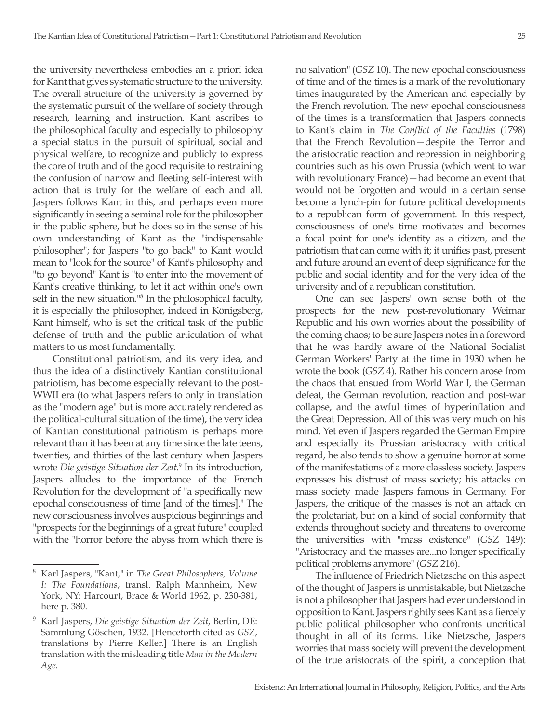the university nevertheless embodies an a priori idea for Kant that gives systematic structure to the university. The overall structure of the university is governed by the systematic pursuit of the welfare of society through research, learning and instruction. Kant ascribes to the philosophical faculty and especially to philosophy a special status in the pursuit of spiritual, social and physical welfare, to recognize and publicly to express the core of truth and of the good requisite to restraining the confusion of narrow and fleeting self-interest with action that is truly for the welfare of each and all. Jaspers follows Kant in this, and perhaps even more significantly in seeing a seminal role for the philosopher in the public sphere, but he does so in the sense of his own understanding of Kant as the "indispensable philosopher"; for Jaspers "to go back" to Kant would mean to "look for the source" of Kant's philosophy and "to go beyond" Kant is "to enter into the movement of Kant's creative thinking, to let it act within one's own self in the new situation."8 In the philosophical faculty, it is especially the philosopher, indeed in Königsberg, Kant himself, who is set the critical task of the public defense of truth and the public articulation of what matters to us most fundamentally.

Constitutional patriotism, and its very idea, and thus the idea of a distinctively Kantian constitutional patriotism, has become especially relevant to the post-WWII era (to what Jaspers refers to only in translation as the "modern age" but is more accurately rendered as the political-cultural situation of the time), the very idea of Kantian constitutional patriotism is perhaps more relevant than it has been at any time since the late teens, twenties, and thirties of the last century when Jaspers wrote *Die geistige Situation der Zeit*. 9 In its introduction, Jaspers alludes to the importance of the French Revolution for the development of "a specifically new epochal consciousness of time [and of the times]." The new consciousness involves auspicious beginnings and "prospects for the beginnings of a great future" coupled with the "horror before the abyss from which there is

no salvation" (*GSZ* 10). The new epochal consciousness of time and of the times is a mark of the revolutionary times inaugurated by the American and especially by the French revolution. The new epochal consciousness of the times is a transformation that Jaspers connects to Kant's claim in *The Conflict of the Faculties* (1798) that the French Revolution—despite the Terror and the aristocratic reaction and repression in neighboring countries such as his own Prussia (which went to war with revolutionary France)—had become an event that would not be forgotten and would in a certain sense become a lynch-pin for future political developments to a republican form of government. In this respect, consciousness of one's time motivates and becomes a focal point for one's identity as a citizen, and the patriotism that can come with it; it unifies past, present and future around an event of deep significance for the public and social identity and for the very idea of the university and of a republican constitution.

One can see Jaspers' own sense both of the prospects for the new post-revolutionary Weimar Republic and his own worries about the possibility of the coming chaos; to be sure Jaspers notes in a foreword that he was hardly aware of the National Socialist German Workers' Party at the time in 1930 when he wrote the book (*GSZ* 4). Rather his concern arose from the chaos that ensued from World War I, the German defeat, the German revolution, reaction and post-war collapse, and the awful times of hyperinflation and the Great Depression. All of this was very much on his mind. Yet even if Jaspers regarded the German Empire and especially its Prussian aristocracy with critical regard, he also tends to show a genuine horror at some of the manifestations of a more classless society. Jaspers expresses his distrust of mass society; his attacks on mass society made Jaspers famous in Germany. For Jaspers, the critique of the masses is not an attack on the proletariat, but on a kind of social conformity that extends throughout society and threatens to overcome the universities with "mass existence" (*GSZ* 149): "Aristocracy and the masses are...no longer specifically political problems anymore" (*GSZ* 216).

The influence of Friedrich Nietzsche on this aspect of the thought of Jaspers is unmistakable, but Nietzsche is not a philosopher that Jaspers had ever understood in opposition to Kant. Jaspers rightly sees Kant as a fiercely public political philosopher who confronts uncritical thought in all of its forms. Like Nietzsche, Jaspers worries that mass society will prevent the development of the true aristocrats of the spirit, a conception that

<sup>8</sup> Karl Jaspers, "Kant," in *The Great Philosophers, Volume I: The Foundations*, transl. Ralph Mannheim, New York, NY: Harcourt, Brace & World 1962, p. 230-381, here p. 380.

<sup>9</sup> Karl Jaspers, *Die geistige Situation der Zeit*, Berlin, DE: Sammlung Göschen, 1932. [Henceforth cited as *GSZ*, translations by Pierre Keller.] There is an English translation with the misleading title *Man in the Modern Age*.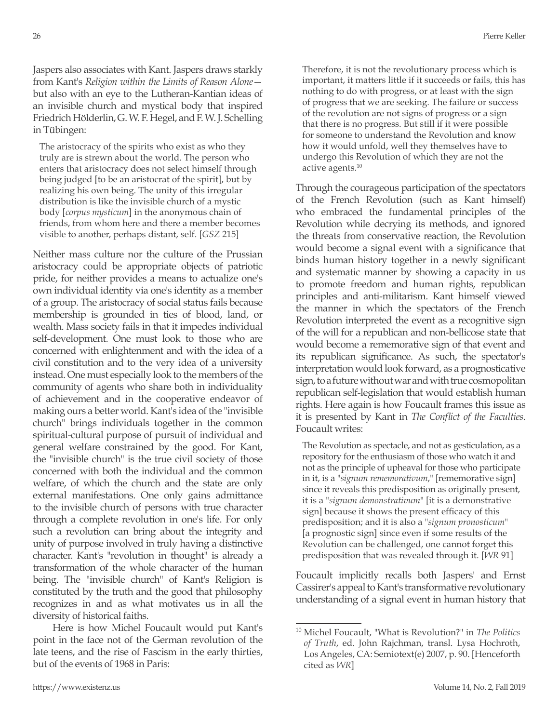Jaspers also associates with Kant. Jaspers draws starkly from Kant's *Religion within the Limits of Reason Alone* but also with an eye to the Lutheran-Kantian ideas of an invisible church and mystical body that inspired Friedrich Hölderlin, G. W. F. Hegel, and F. W. J. Schelling in Tübingen:

The aristocracy of the spirits who exist as who they truly are is strewn about the world. The person who enters that aristocracy does not select himself through being judged [to be an aristocrat of the spirit], but by realizing his own being. The unity of this irregular distribution is like the invisible church of a mystic body [*corpus mysticum*] in the anonymous chain of friends, from whom here and there a member becomes visible to another, perhaps distant, self. [*GSZ* 215]

Neither mass culture nor the culture of the Prussian aristocracy could be appropriate objects of patriotic pride, for neither provides a means to actualize one's own individual identity via one's identity as a member of a group. The aristocracy of social status fails because membership is grounded in ties of blood, land, or wealth. Mass society fails in that it impedes individual self-development. One must look to those who are concerned with enlightenment and with the idea of a civil constitution and to the very idea of a university instead. One must especially look to the members of the community of agents who share both in individuality of achievement and in the cooperative endeavor of making ours a better world. Kant's idea of the "invisible church" brings individuals together in the common spiritual-cultural purpose of pursuit of individual and general welfare constrained by the good. For Kant, the "invisible church" is the true civil society of those concerned with both the individual and the common welfare, of which the church and the state are only external manifestations. One only gains admittance to the invisible church of persons with true character through a complete revolution in one's life. For only such a revolution can bring about the integrity and unity of purpose involved in truly having a distinctive character. Kant's "revolution in thought" is already a transformation of the whole character of the human being. The "invisible church" of Kant's Religion is constituted by the truth and the good that philosophy recognizes in and as what motivates us in all the diversity of historical faiths.

Here is how Michel Foucault would put Kant's point in the face not of the German revolution of the late teens, and the rise of Fascism in the early thirties, but of the events of 1968 in Paris:

Therefore, it is not the revolutionary process which is important, it matters little if it succeeds or fails, this has nothing to do with progress, or at least with the sign of progress that we are seeking. The failure or success of the revolution are not signs of progress or a sign that there is no progress. But still if it were possible for someone to understand the Revolution and know how it would unfold, well they themselves have to undergo this Revolution of which they are not the active agents.10

Through the courageous participation of the spectators of the French Revolution (such as Kant himself) who embraced the fundamental principles of the Revolution while decrying its methods, and ignored the threats from conservative reaction, the Revolution would become a signal event with a significance that binds human history together in a newly significant and systematic manner by showing a capacity in us to promote freedom and human rights, republican principles and anti-militarism. Kant himself viewed the manner in which the spectators of the French Revolution interpreted the event as a recognitive sign of the will for a republican and non-bellicose state that would become a rememorative sign of that event and its republican significance. As such, the spectator's interpretation would look forward, as a prognosticative sign, to a future without war and with true cosmopolitan republican self-legislation that would establish human rights. Here again is how Foucault frames this issue as it is presented by Kant in *The Conflict of the Faculties*. Foucault writes:

The Revolution as spectacle, and not as gesticulation, as a repository for the enthusiasm of those who watch it and not as the principle of upheaval for those who participate in it, is a "*signum rememorativum*," [rememorative sign] since it reveals this predisposition as originally present, it is a "*signum demonstrativum*" [it is a demonstrative sign] because it shows the present efficacy of this predisposition; and it is also a "*signum pronosticum*" [a prognostic sign] since even if some results of the Revolution can be challenged, one cannot forget this predisposition that was revealed through it. [*WR* 91]

Foucault implicitly recalls both Jaspers' and Ernst Cassirer's appeal to Kant's transformative revolutionary understanding of a signal event in human history that

<sup>10</sup> Michel Foucault, "What is Revolution?" in *The Politics of Truth*, ed. John Rajchman, transl. Lysa Hochroth, Los Angeles, CA: Semiotext(e) 2007, p. 90. [Henceforth cited as *WR*]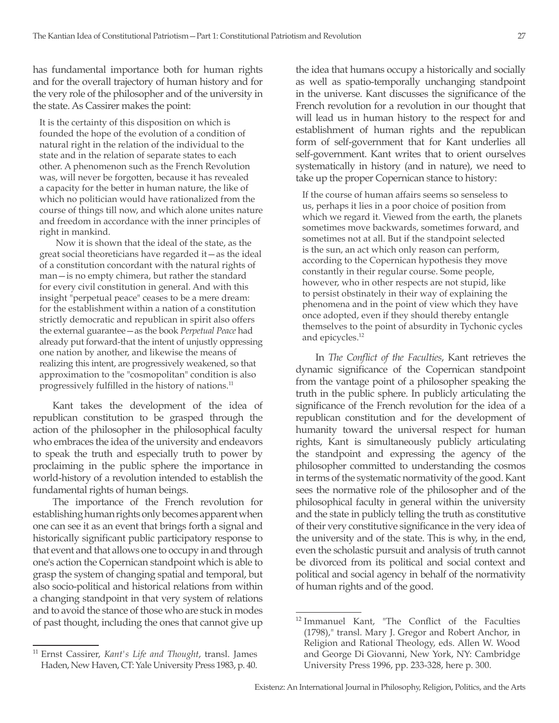has fundamental importance both for human rights and for the overall trajectory of human history and for the very role of the philosopher and of the university in the state. As Cassirer makes the point:

It is the certainty of this disposition on which is founded the hope of the evolution of a condition of natural right in the relation of the individual to the state and in the relation of separate states to each other. A phenomenon such as the French Revolution was, will never be forgotten, because it has revealed a capacity for the better in human nature, the like of which no politician would have rationalized from the course of things till now, and which alone unites nature and freedom in accordance with the inner principles of right in mankind.

Now it is shown that the ideal of the state, as the great social theoreticians have regarded it—as the ideal of a constitution concordant with the natural rights of man—is no empty chimera, but rather the standard for every civil constitution in general. And with this insight "perpetual peace" ceases to be a mere dream: for the establishment within a nation of a constitution strictly democratic and republican in spirit also offers the external guarantee—as the book *Perpetual Peace* had already put forward-that the intent of unjustly oppressing one nation by another, and likewise the means of realizing this intent, are progressively weakened, so that approximation to the "cosmopolitan" condition is also progressively fulfilled in the history of nations.<sup>11</sup>

Kant takes the development of the idea of republican constitution to be grasped through the action of the philosopher in the philosophical faculty who embraces the idea of the university and endeavors to speak the truth and especially truth to power by proclaiming in the public sphere the importance in world-history of a revolution intended to establish the fundamental rights of human beings.

The importance of the French revolution for establishing human rights only becomes apparent when one can see it as an event that brings forth a signal and historically significant public participatory response to that event and that allows one to occupy in and through one's action the Copernican standpoint which is able to grasp the system of changing spatial and temporal, but also socio-political and historical relations from within a changing standpoint in that very system of relations and to avoid the stance of those who are stuck in modes of past thought, including the ones that cannot give up the idea that humans occupy a historically and socially as well as spatio-temporally unchanging standpoint in the universe. Kant discusses the significance of the French revolution for a revolution in our thought that will lead us in human history to the respect for and establishment of human rights and the republican form of self-government that for Kant underlies all self-government. Kant writes that to orient ourselves systematically in history (and in nature), we need to take up the proper Copernican stance to history:

If the course of human affairs seems so senseless to us, perhaps it lies in a poor choice of position from which we regard it. Viewed from the earth, the planets sometimes move backwards, sometimes forward, and sometimes not at all. But if the standpoint selected is the sun, an act which only reason can perform, according to the Copernican hypothesis they move constantly in their regular course. Some people, however, who in other respects are not stupid, like to persist obstinately in their way of explaining the phenomena and in the point of view which they have once adopted, even if they should thereby entangle themselves to the point of absurdity in Tychonic cycles and epicycles.12

In *The Conflict of the Faculties*, Kant retrieves the dynamic significance of the Copernican standpoint from the vantage point of a philosopher speaking the truth in the public sphere. In publicly articulating the significance of the French revolution for the idea of a republican constitution and for the development of humanity toward the universal respect for human rights, Kant is simultaneously publicly articulating the standpoint and expressing the agency of the philosopher committed to understanding the cosmos in terms of the systematic normativity of the good. Kant sees the normative role of the philosopher and of the philosophical faculty in general within the university and the state in publicly telling the truth as constitutive of their very constitutive significance in the very idea of the university and of the state. This is why, in the end, even the scholastic pursuit and analysis of truth cannot be divorced from its political and social context and political and social agency in behalf of the normativity of human rights and of the good.

<sup>11</sup> Ernst Cassirer, *Kant's Life and Thought*, transl. James Haden, New Haven, CT: Yale University Press 1983, p. 40.

<sup>12</sup> Immanuel Kant, "The Conflict of the Faculties (1798)," transl. Mary J. Gregor and Robert Anchor, in Religion and Rational Theology, eds. Allen W. Wood and George Di Giovanni, New York, NY: Cambridge University Press 1996, pp. 233-328, here p. 300.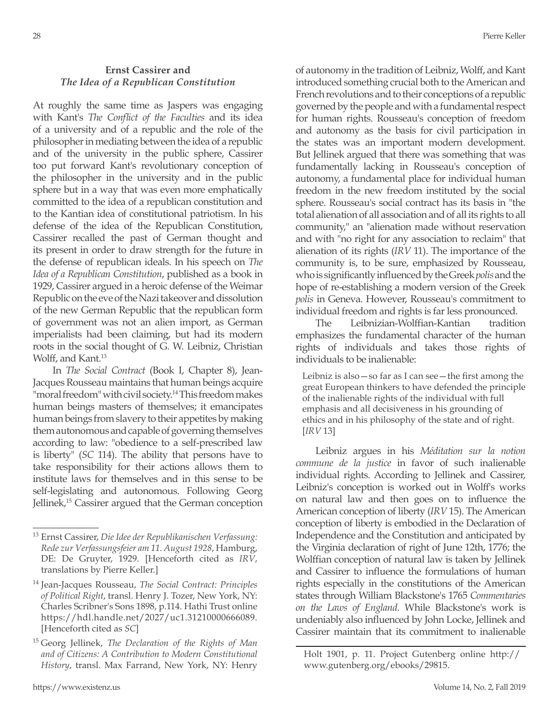## **Ernst Cassirer and** *The Idea of a Republican Constitution*

At roughly the same time as Jaspers was engaging with Kant's *The Conflict of the Faculties* and its idea of a university and of a republic and the role of the philosopher in mediating between the idea of a republic and of the university in the public sphere, Cassirer too put forward Kant's revolutionary conception of the philosopher in the university and in the public sphere but in a way that was even more emphatically committed to the idea of a republican constitution and to the Kantian idea of constitutional patriotism. In his defense of the idea of the Republican Constitution, Cassirer recalled the past of German thought and its present in order to draw strength for the future in the defense of republican ideals. In his speech on *The Idea of a Republican Constitution*, published as a book in 1929, Cassirer argued in a heroic defense of the Weimar Republic on the eve of the Nazi takeover and dissolution of the new German Republic that the republican form of government was not an alien import, as German imperialists had been claiming, but had its modern roots in the social thought of G. W. Leibniz, Christian Wolff, and Kant.<sup>13</sup>

In *The Social Contract* (Book I, Chapter 8), Jean-Jacques Rousseau maintains that human beings acquire "moral freedom" with civil society.14 This freedom makes human beings masters of themselves; it emancipates human beings from slavery to their appetites by making them autonomous and capable of governing themselves according to law: "obedience to a self-prescribed law is liberty" (*SC* 114). The ability that persons have to take responsibility for their actions allows them to institute laws for themselves and in this sense to be self-legislating and autonomous. Following Georg Jellinek,<sup>15</sup> Cassirer argued that the German conception of autonomy in the tradition of Leibniz, Wolff, and Kant introduced something crucial both to the American and French revolutions and to their conceptions of a republic governed by the people and with a fundamental respect for human rights. Rousseau's conception of freedom and autonomy as the basis for civil participation in the states was an important modern development. But Jellinek argued that there was something that was fundamentally lacking in Rousseau's conception of autonomy, a fundamental place for individual human freedom in the new freedom instituted by the social sphere. Rousseau's social contract has its basis in "the total alienation of all association and of all its rights to all community," an "alienation made without reservation and with "no right for any association to reclaim" that alienation of its rights (*IRV* 11). The importance of the community is, to be sure, emphasized by Rousseau, who is significantly influenced by the Greek *polis* and the hope of re-establishing a modern version of the Greek *polis* in Geneva. However, Rousseau's commitment to individual freedom and rights is far less pronounced.

The Leibnizian-Wolffian-Kantian tradition emphasizes the fundamental character of the human rights of individuals and takes those rights of individuals to be inalienable:

Leibniz is also—so far as I can see—the first among the great European thinkers to have defended the principle of the inalienable rights of the individual with full emphasis and all decisiveness in his grounding of ethics and in his philosophy of the state and of right. [*IRV* 13]

Leibniz argues in his *Méditation sur la notion commune de la justice* in favor of such inalienable individual rights. According to Jellinek and Cassirer, Leibniz's conception is worked out in Wolff's works on natural law and then goes on to influence the American conception of liberty (*IRV* 15). The American conception of liberty is embodied in the Declaration of Independence and the Constitution and anticipated by the Virginia declaration of right of June 12th, 1776; the Wolffian conception of natural law is taken by Jellinek and Cassirer to influence the formulations of human rights especially in the constitutions of the American states through William Blackstone's 1765 *Commentaries on the Laws of England*. While Blackstone's work is undeniably also influenced by John Locke, Jellinek and Cassirer maintain that its commitment to inalienable

<sup>13</sup> Ernst Cassirer, *Die Idee der Republikanischen Verfassung: Rede zur Verfassungsfeier am 11. August 1928*, Hamburg, DE: De Gruyter, 1929. [Henceforth cited as *IRV*, translations by Pierre Keller.]

<sup>14</sup> Jean-Jacques Rousseau, *The Social Contract: Principles of Political Right*, transl. Henry J. Tozer, New York, NY: Charles Scribner's Sons 1898, p.114. Hathi Trust online https://hdl.handle.net/2027/uc1.31210000666089. [Henceforth cited as *SC*]

<sup>15</sup> Georg Jellinek, *The Declaration of the Rights of Man and of Citizens: A Contribution to Modern Constitutional History*, transl. Max Farrand, New York, NY: Henry

Holt 1901, p. 11. Project Gutenberg online http:// www.gutenberg.org/ebooks/29815.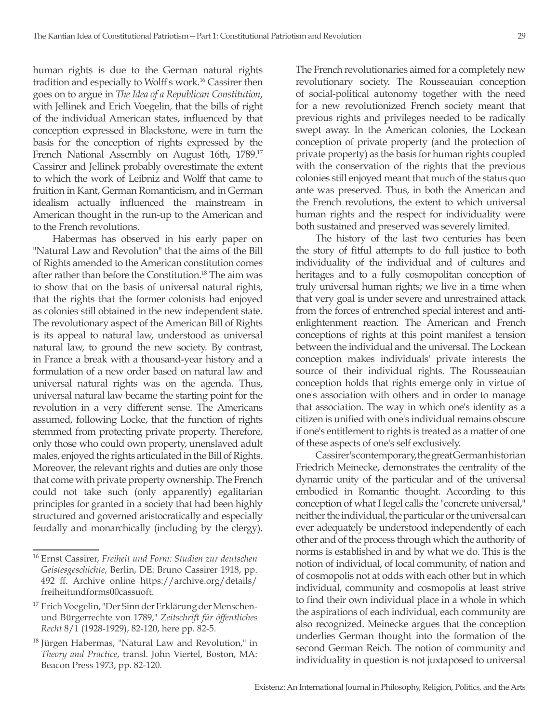human rights is due to the German natural rights tradition and especially to Wolff's work.16 Cassirer then goes on to argue in *The Idea of a Republican Constitution*, with Jellinek and Erich Voegelin, that the bills of right of the individual American states, influenced by that conception expressed in Blackstone, were in turn the basis for the conception of rights expressed by the French National Assembly on August 16th, 1789.<sup>17</sup> Cassirer and Jellinek probably overestimate the extent to which the work of Leibniz and Wolff that came to fruition in Kant, German Romanticism, and in German idealism actually influenced the mainstream in American thought in the run-up to the American and to the French revolutions.

Habermas has observed in his early paper on "Natural Law and Revolution" that the aims of the Bill of Rights amended to the American constitution comes after rather than before the Constitution.18 The aim was to show that on the basis of universal natural rights, that the rights that the former colonists had enjoyed as colonies still obtained in the new independent state. The revolutionary aspect of the American Bill of Rights is its appeal to natural law, understood as universal natural law, to ground the new society. By contrast, in France a break with a thousand-year history and a formulation of a new order based on natural law and universal natural rights was on the agenda. Thus, universal natural law became the starting point for the revolution in a very different sense. The Americans assumed, following Locke, that the function of rights stemmed from protecting private property. Therefore, only those who could own property, unenslaved adult males, enjoyed the rights articulated in the Bill of Rights. Moreover, the relevant rights and duties are only those that come with private property ownership. The French could not take such (only apparently) egalitarian principles for granted in a society that had been highly structured and governed aristocratically and especially feudally and monarchically (including by the clergy).

The French revolutionaries aimed for a completely new revolutionary society. The Rousseauian conception of social-political autonomy together with the need for a new revolutionized French society meant that previous rights and privileges needed to be radically swept away. In the American colonies, the Lockean conception of private property (and the protection of private property) as the basis for human rights coupled with the conservation of the rights that the previous colonies still enjoyed meant that much of the status quo ante was preserved. Thus, in both the American and the French revolutions, the extent to which universal human rights and the respect for individuality were both sustained and preserved was severely limited.

The history of the last two centuries has been the story of fitful attempts to do full justice to both individuality of the individual and of cultures and heritages and to a fully cosmopolitan conception of truly universal human rights; we live in a time when that very goal is under severe and unrestrained attack from the forces of entrenched special interest and antienlightenment reaction. The American and French conceptions of rights at this point manifest a tension between the individual and the universal. The Lockean conception makes individuals' private interests the source of their individual rights. The Rousseauian conception holds that rights emerge only in virtue of one's association with others and in order to manage that association. The way in which one's identity as a citizen is unified with one's individual remains obscure if one's entitlement to rights is treated as a matter of one of these aspects of one's self exclusively.

Cassirer's contemporary, the great German historian Friedrich Meinecke, demonstrates the centrality of the dynamic unity of the particular and of the universal embodied in Romantic thought. According to this conception of what Hegel calls the "concrete universal," neither the individual, the particular or the universal can ever adequately be understood independently of each other and of the process through which the authority of norms is established in and by what we do. This is the notion of individual, of local community, of nation and of cosmopolis not at odds with each other but in which individual, community and cosmopolis at least strive to find their own individual place in a whole in which the aspirations of each individual, each community are also recognized. Meinecke argues that the conception underlies German thought into the formation of the second German Reich. The notion of community and individuality in question is not juxtaposed to universal

<sup>16</sup> Ernst Cassirer, *Freiheit und Form: Studien zur deutschen Geistesgeschichte*, Berlin, DE: Bruno Cassirer 1918, pp. 492 ff. Archive online https://archive.org/details/ freiheitundforms00cassuoft.

<sup>&</sup>lt;sup>17</sup> Erich Voegelin, "Der Sinn der Erklärung der Menschenund Bürgerrechte von 1789," *Zeitschrift für öffentliches Recht* 8/1 (1928-1929), 82-120, here pp. 82-5.

<sup>&</sup>lt;sup>18</sup> Jürgen Habermas, "Natural Law and Revolution," in *Theory and Practice*, transl. John Viertel, Boston, MA: Beacon Press 1973, pp. 82-120.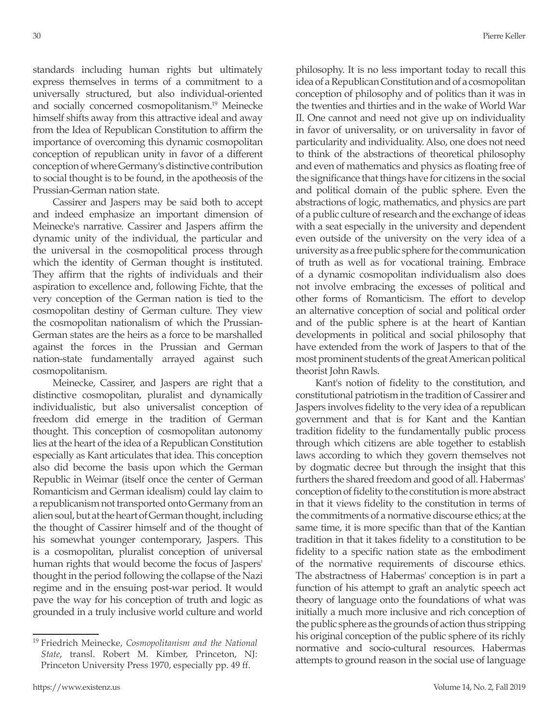standards including human rights but ultimately express themselves in terms of a commitment to a universally structured, but also individual-oriented and socially concerned cosmopolitanism.19 Meinecke himself shifts away from this attractive ideal and away from the Idea of Republican Constitution to affirm the importance of overcoming this dynamic cosmopolitan conception of republican unity in favor of a different conception of where Germany's distinctive contribution to social thought is to be found, in the apotheosis of the Prussian-German nation state.

Cassirer and Jaspers may be said both to accept and indeed emphasize an important dimension of Meinecke's narrative. Cassirer and Jaspers affirm the dynamic unity of the individual, the particular and the universal in the cosmopolitical process through which the identity of German thought is instituted. They affirm that the rights of individuals and their aspiration to excellence and, following Fichte, that the very conception of the German nation is tied to the cosmopolitan destiny of German culture. They view the cosmopolitan nationalism of which the Prussian-German states are the heirs as a force to be marshalled against the forces in the Prussian and German nation-state fundamentally arrayed against such cosmopolitanism.

Meinecke, Cassirer, and Jaspers are right that a distinctive cosmopolitan, pluralist and dynamically individualistic, but also universalist conception of freedom did emerge in the tradition of German thought. This conception of cosmopolitan autonomy lies at the heart of the idea of a Republican Constitution especially as Kant articulates that idea. This conception also did become the basis upon which the German Republic in Weimar (itself once the center of German Romanticism and German idealism) could lay claim to a republicanism not transported onto Germany from an alien soul, but at the heart of German thought, including the thought of Cassirer himself and of the thought of his somewhat younger contemporary, Jaspers. This is a cosmopolitan, pluralist conception of universal human rights that would become the focus of Jaspers' thought in the period following the collapse of the Nazi regime and in the ensuing post-war period. It would pave the way for his conception of truth and logic as grounded in a truly inclusive world culture and world

<sup>19</sup> Friedrich Meinecke, *Cosmopolitanism and the National State*, transl. Robert M. Kimber, Princeton, NJ: Princeton University Press 1970, especially pp. 49 ff.

philosophy. It is no less important today to recall this idea of a Republican Constitution and of a cosmopolitan conception of philosophy and of politics than it was in the twenties and thirties and in the wake of World War II. One cannot and need not give up on individuality in favor of universality, or on universality in favor of particularity and individuality. Also, one does not need to think of the abstractions of theoretical philosophy and even of mathematics and physics as floating free of the significance that things have for citizens in the social and political domain of the public sphere. Even the abstractions of logic, mathematics, and physics are part of a public culture of research and the exchange of ideas with a seat especially in the university and dependent even outside of the university on the very idea of a university as a free public sphere for the communication of truth as well as for vocational training. Embrace of a dynamic cosmopolitan individualism also does not involve embracing the excesses of political and other forms of Romanticism. The effort to develop an alternative conception of social and political order and of the public sphere is at the heart of Kantian developments in political and social philosophy that have extended from the work of Jaspers to that of the most prominent students of the great American political theorist John Rawls.

Kant's notion of fidelity to the constitution, and constitutional patriotism in the tradition of Cassirer and Jaspers involves fidelity to the very idea of a republican government and that is for Kant and the Kantian tradition fidelity to the fundamentally public process through which citizens are able together to establish laws according to which they govern themselves not by dogmatic decree but through the insight that this furthers the shared freedom and good of all. Habermas' conception of fidelity to the constitution is more abstract in that it views fidelity to the constitution in terms of the commitments of a normative discourse ethics; at the same time, it is more specific than that of the Kantian tradition in that it takes fidelity to a constitution to be fidelity to a specific nation state as the embodiment of the normative requirements of discourse ethics. The abstractness of Habermas' conception is in part a function of his attempt to graft an analytic speech act theory of language onto the foundations of what was initially a much more inclusive and rich conception of the public sphere as the grounds of action thus stripping his original conception of the public sphere of its richly normative and socio-cultural resources. Habermas attempts to ground reason in the social use of language